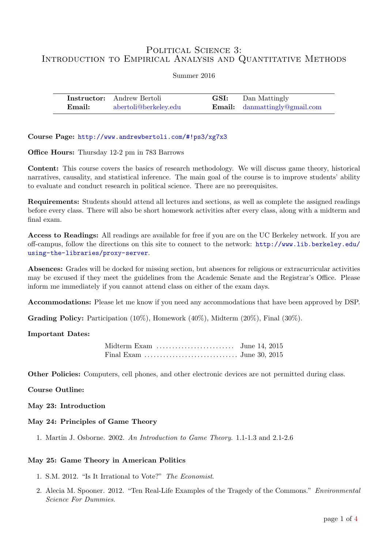# POLITICAL SCIENCE 3: INTRODUCTION TO EMPIRICAL ANALYSIS AND QUANTITATIVE METHODS

| Summer 2016 |  |  |
|-------------|--|--|
|             |  |  |

|        | <b>Instructor:</b> Andrew Bertoli | <b>GSI:</b> Dan Mattingly            |
|--------|-----------------------------------|--------------------------------------|
| Email: | abertoli@berkeley.edu             | <b>Email:</b> danmattingly@gmail.com |

Course Page: <http://www.andrewbertoli.com/#!ps3/xg7x3>

Office Hours: Thursday 12-2 pm in 783 Barrows

Content: This course covers the basics of research methodology. We will discuss game theory, historical narratives, causality, and statistical inference. The main goal of the course is to improve students' ability to evaluate and conduct research in political science. There are no prerequisites.

Requirements: Students should attend all lectures and sections, as well as complete the assigned readings before every class. There will also be short homework activities after every class, along with a midterm and final exam.

Access to Readings: All readings are available for free if you are on the UC Berkeley network. If you are off-campus, follow the directions on this site to connect to the network: [http://www.lib.berkeley.edu/](http://www.lib.berkeley.edu/using-the-libraries/proxy-server) [using-the-libraries/proxy-server](http://www.lib.berkeley.edu/using-the-libraries/proxy-server).

Absences: Grades will be docked for missing section, but absences for religious or extracurricular activities may be excused if they meet the guidelines from the Academic Senate and the Registrar's Office. Please inform me immediately if you cannot attend class on either of the exam days.

Accommodations: Please let me know if you need any accommodations that have been approved by DSP.

Grading Policy: Participation (10%), Homework (40%), Midterm (20%), Final (30%).

# Important Dates:

| Midterm Exam $\dots\dots\dots\dots\dots\dots\dots$ June 14, 2015 |  |
|------------------------------------------------------------------|--|
|                                                                  |  |

Other Policies: Computers, cell phones, and other electronic devices are not permitted during class.

Course Outline:

May 23: Introduction

# May 24: Principles of Game Theory

1. Martin J. Osborne. 2002. [An Introduction to Game Theory](https://www.economics.utoronto.ca/osborne/igt/index.html). 1.1-1.3 and 2.1-2.6

# May 25: Game Theory in American Politics

- 1. [S.M. 2012. "Is It Irrational to Vote?"](http://www.economist.com/blogs/democracyinamerica/2012/10/presidential-election-0) The Economist.
- 2. [Alecia M. Spooner. 2012. "Ten Real-Life Examples of the Tragedy of the Commons."](http://www.dummies.com/how-to/content/ten-reallife-examples-of-the-tragedy-of-the-common.html) Environmental [Science For Dummies](http://www.dummies.com/how-to/content/ten-reallife-examples-of-the-tragedy-of-the-common.html).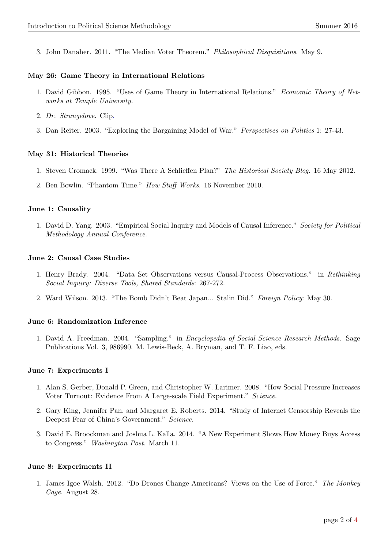3. [John Danaher. 2011. "The Median Voter Theorem."](http://philosophicaldisquisitions.blogspot.com/2011/05/game-theory-part-4-median-voter-theorem.html) Philosophical Disquisitions. May 9.

#### May 26: Game Theory in International Relations

- 1. [David Gibbon. 1995. "Uses of Game Theory in International Relations."](https://tuecontheoryofnetworks.wordpress.com/2013/02/11/uses-of-game-theory-in-international-relations/) Economic Theory of Net[works at Temple University.](https://tuecontheoryofnetworks.wordpress.com/2013/02/11/uses-of-game-theory-in-international-relations/)
- 2. [Dr. Strangelove.](https://www.youtube.com/watch?v=2yfXgu37iyI) Clip.
- 3. [Dan Reiter. 2003. "Exploring the Bargaining Model of War."](http://isites.harvard.edu/fs/docs/icb.topic248058.files/March%203%20readings/Reiter_Exploring_the_Bargaining_Model.pdf) Perspectives on Politics 1: 27-43.

#### May 31: Historical Theories

- 1. [Steven Cromack. 1999. "Was There A Schlieffen Plan?"](http://histsociety.blogspot.com/2012/05/was-there-schlieffen-plan.html) The Historical Society Blog. 16 May 2012.
- 2. [Ben Bowlin. "Phantom Time."](https://www.youtube.com/watch?v=o3FDw3rp1cE) How Stuff Works. 16 November 2010.

#### June 1: Causality

1. [David D. Yang. 2003. "Empirical Social Inquiry and Models of Causal Inference."](http://www.polmeth.wustl.edu/files/polmeth/yang03.pdf) Society for Political [Methodology Annual Conference](http://www.polmeth.wustl.edu/files/polmeth/yang03.pdf).

#### June 2: Causal Case Studies

- 1. [Henry Brady. 2004. "Data Set Observations versus Causal-Process Observations." in](http://www.polsci.ucsb.edu/faculty/glasgow/ps15/Brady.pdf) Rethinking [Social Inquiry: Diverse Tools, Shared Standards](http://www.polsci.ucsb.edu/faculty/glasgow/ps15/Brady.pdf): 267-272.
- 2. [Ward Wilson. 2013. "The Bomb Didn't Beat Japan... Stalin Did."](http://foreignpolicy.com/2013/05/30/the-bomb-didnt-beat-japan-stalin-did/) Foreign Policy: May 30.

#### June 6: Randomization Inference

1. David A. Freedman. 2004. "Sampling." in [Encyclopedia of Social Science Research Methods.](http://www.stat.berkeley.edu/~census/sample.pdf) Sage [Publications Vol. 3, 986990. M. Lewis-Beck, A. Bryman, and T. F. Liao, eds.](http://www.stat.berkeley.edu/~census/sample.pdf)

# June 7: Experiments I

- 1. [Alan S. Gerber, Donald P. Green, and Christopher W. Larimer. 2008. "How Social Pressure Increases](http://www.sciencedaily.com/releases/2008/03/080313124403.htm) [Voter Turnout: Evidence From A Large-scale Field Experiment."](http://www.sciencedaily.com/releases/2008/03/080313124403.htm) Science.
- 2. [Gary King, Jennifer Pan, and Margaret E. Roberts. 2014. "Study of Internet Censorship Reveals the](http://news.sciencemag.org/asiapacific/2014/08/study-internet-censorship-reveals-deepest-fears-chinas-government) [Deepest Fear of China's Government."](http://news.sciencemag.org/asiapacific/2014/08/study-internet-censorship-reveals-deepest-fears-chinas-government) Science.
- 3. [David E. Broockman and Joshua L. Kalla. 2014. "A New Experiment Shows How Money Buys Access](https://www.washingtonpost.com/news/monkey-cage/wp/2014/03/11/a-new-experiment-shows-how-money-buys-access-to-congress/) to Congress." [Washington Post](https://www.washingtonpost.com/news/monkey-cage/wp/2014/03/11/a-new-experiment-shows-how-money-buys-access-to-congress/). March 11.

# June 8: Experiments II

1. [James Igoe Walsh. 2012. "Do Drones Change Americans? Views on the Use of Force."](http://themonkeycage.org/2012/08/do-drones-change-americans-views-on-the-use-of-force/) The Monkey Cage[. August 28.](http://themonkeycage.org/2012/08/do-drones-change-americans-views-on-the-use-of-force/)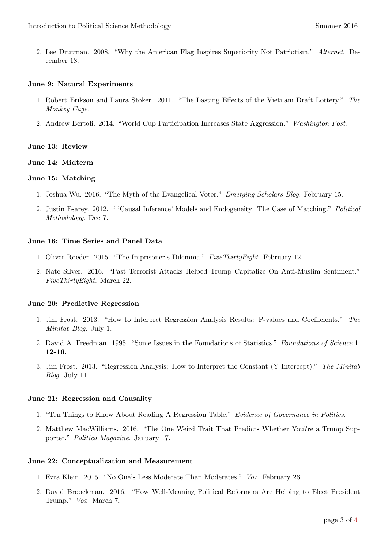2. [Lee Drutman. 2008. "Why the American Flag Inspires Superiority Not Patriotism."](http://www.alternet.org/story/114008/why_the_american_flag_inspires_superiority_not_patriotism) Alternet. De[cember 18.](http://www.alternet.org/story/114008/why_the_american_flag_inspires_superiority_not_patriotism)

#### June 9: Natural Experiments

- 1. [Robert Erikson and Laura Stoker. 2011. "The Lasting Effects of the Vietnam Draft Lottery."](http://themonkeycage.org/2011/06/the-lasting-effects-of-the-vietnam-draft-lottery/) The [Monkey Cage](http://themonkeycage.org/2011/06/the-lasting-effects-of-the-vietnam-draft-lottery/).
- 2. [Andrew Bertoli. 2014. "World Cup Participation Increases State Aggression."](http://www.washingtonpost.com/blogs/monkey-cage/wp/2014/06/03/world-cup-participation-increases-state-aggression/) Washington Post.

#### June 13: Review

#### June 14: Midterm

#### June 15: Matching

- 1. [Joshua Wu. 2016. "The Myth of the Evangelical Voter."](http://blog.emergingscholars.org/2016/02/the-myth-of-the-evangelical-voter/comment-page-1/) Emerging Scholars Blog. February 15.
- 2. [Justin Esarey. 2012. " 'Causal Inference' Models and Endogeneity: The Case of Matching."](https://politicalmethodology.wordpress.com/2012/12/07/causal-inference-models-and-endogeneity-the-case-of-matching/) Political [Methodology](https://politicalmethodology.wordpress.com/2012/12/07/causal-inference-models-and-endogeneity-the-case-of-matching/). Dec 7.

#### June 16: Time Series and Panel Data

- 1. [Oliver Roeder. 2015. "The Imprisoner's Dilemma."](http://fivethirtyeight.com/features/the-imprisoners-dilemma/) FiveThirtyEight. February 12.
- 2. [Nate Silver. 2016. "Past Terrorist Attacks Helped Trump Capitalize On Anti-Muslim Sentiment."](http://fivethirtyeight.com/features/past-terrorist-attacks-helped-trump-capitalize-on-anti-muslim-sentiment/?ex_cid=538twitter) [FiveThirtyEight.](http://fivethirtyeight.com/features/past-terrorist-attacks-helped-trump-capitalize-on-anti-muslim-sentiment/?ex_cid=538twitter) March 22.

# June 20: Predictive Regression

- 1. [Jim Frost. 2013. "How to Interpret Regression Analysis Results: P-values and Coefficients."](http://blog.minitab.com/blog/adventures-in-statistics/how-to-interpret-regression-analysis-results-p-values-and-coefficients) The [Minitab Blog.](http://blog.minitab.com/blog/adventures-in-statistics/how-to-interpret-regression-analysis-results-p-values-and-coefficients) July 1.
- 2. [David A. Freedman. 1995. "Some Issues in the Foundations of Statistics."](http://www.stat.berkeley.edu/~census/fos.pdf) Foundations of Science 1: [12-16](http://www.stat.berkeley.edu/~census/fos.pdf).
- 3. [Jim Frost. 2013. "Regression Analysis: How to Interpret the Constant \(Y Intercept\)."](http://blog.minitab.com/blog/adventures-in-statistics/regression-analysis-how-to-interpret-the-constant-y-intercept) The Minitab Blog. [July 11.](http://blog.minitab.com/blog/adventures-in-statistics/regression-analysis-how-to-interpret-the-constant-y-intercept)

#### June 21: Regression and Causality

- 1. ["Ten Things to Know About Reading A Regression Table."](http://egap.org/methods-guides/10-things-know-about-reading-regression-table) Evidence of Governance in Politics.
- 2. [Matthew MacWilliams. 2016. "The One Weird Trait That Predicts Whether You?re a Trump Sup](http://www.politico.com/magazine/story/2016/01/donald-trump-2016-authoritarian-213533)porter." [Politico Magazine.](http://www.politico.com/magazine/story/2016/01/donald-trump-2016-authoritarian-213533) January 17.

#### June 22: Conceptualization and Measurement

- 1. [Ezra Klein. 2015. "No One's Less Moderate Than Moderates."](http://www.vox.com/2014/7/8/5878293/lets-stop-using-the-word-moderate) Vox. February 26.
- 2. [David Broockman. 2016. "How Well-Meaning Political Reformers Are Helping to Elect President](https://www.washingtonpost.com/news/in-theory/wp/2016/03/07/how-well-meaning-political-reformers-are-helping-to-elect-president-trump/) Trump." Vox. [March 7.](https://www.washingtonpost.com/news/in-theory/wp/2016/03/07/how-well-meaning-political-reformers-are-helping-to-elect-president-trump/)